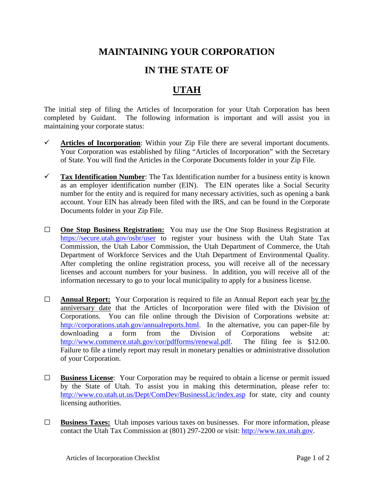## **MAINTAINING YOUR CORPORATION**

## **IN THE STATE OF**

## **UTAH**

The initial step of filing the Articles of Incorporation for your Utah Corporation has been completed by Guidant. The following information is important and will assist you in maintaining your corporate status:

- $\checkmark$  Articles of Incorporation: Within your Zip File there are several important documents. Your Corporation was established by filing "Articles of Incorporation" with the Secretary of State. You will find the Articles in the Corporate Documents folder in your Zip File.
- **Tax Identification Number**: The Tax Identification number for a business entity is known as an employer identification number (EIN). The EIN operates like a Social Security number for the entity and is required for many necessary activities, such as opening a bank account. Your EIN has already been filed with the IRS, and can be found in the Corporate Documents folder in your Zip File.
- **□ One Stop Business Registration:** You may use the One Stop Business Registration at <https://secure.utah.gov/osbr/user> to register your business with the Utah State Tax Commission, the Utah Labor Commission, the Utah Department of Commerce, the Utah Department of Workforce Services and the Utah Department of Environmental Quality. After completing the online registration process, you will receive all of the necessary licenses and account numbers for your business. In addition, you will receive all of the information necessary to go to your local municipality to apply for a business license.
- **□ Annual Report:** Your Corporation is required to file an Annual Report each year by the anniversary date that the Articles of Incorporation were filed with the Division of Corporations. You can file online through the Division of Corporations website at: [http://corporations.utah.gov/annualreports.html.](http://corporations.utah.gov/annualreports.html) In the alternative, you can paper-file by downloading a form from the Division of Corporations website at: [http://www.commerce.utah.gov/cor/pdfforms/renewal.pdf.](http://www.commerce.utah.gov/cor/pdfforms/renewal.pdf) The filing fee is \$12.00. Failure to file a timely report may result in monetary penalties or administrative dissolution of your Corporation.
- **□ Business License**: Your Corporation may be required to obtain a license or permit issued by the State of Utah. To assist you in making this determination, please refer to: <http://www.co.utah.ut.us/Dept/ComDev/BusinessLic/index.asp> for state, city and county licensing authorities.
- **□ Business Taxes:** Utah imposes various taxes on businesses. For more information, please contact the Utah Tax Commission at (801) 297-2200 or visit: [http://www.tax.utah.gov.](http://www.tax.utah.gov/)